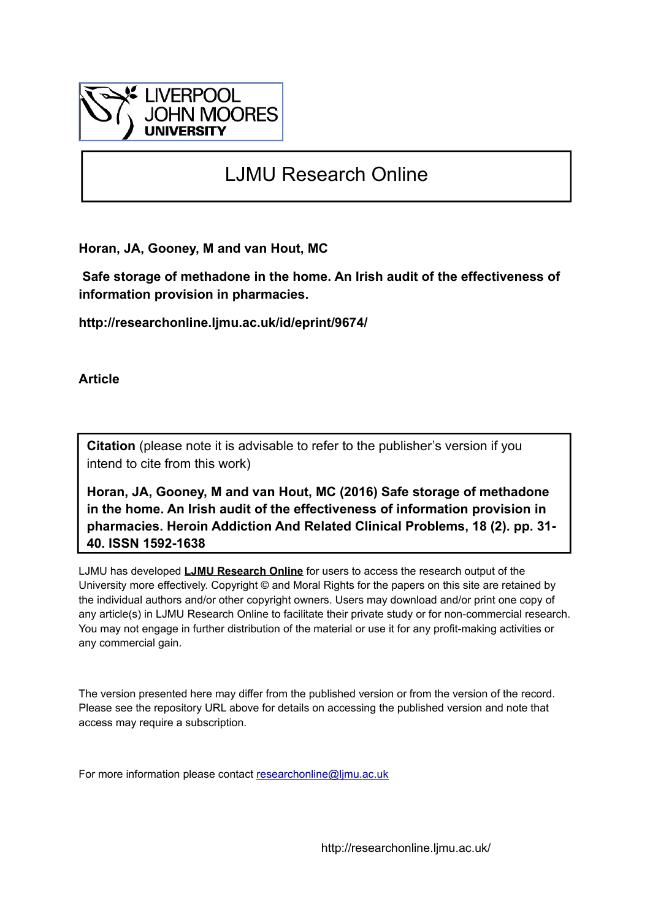

# LJMU Research Online

**Horan, JA, Gooney, M and van Hout, MC**

 **Safe storage of methadone in the home. An Irish audit of the effectiveness of information provision in pharmacies.**

**http://researchonline.ljmu.ac.uk/id/eprint/9674/**

**Article**

**Citation** (please note it is advisable to refer to the publisher's version if you intend to cite from this work)

**Horan, JA, Gooney, M and van Hout, MC (2016) Safe storage of methadone in the home. An Irish audit of the effectiveness of information provision in pharmacies. Heroin Addiction And Related Clinical Problems, 18 (2). pp. 31- 40. ISSN 1592-1638** 

LJMU has developed **[LJMU Research Online](http://researchonline.ljmu.ac.uk/)** for users to access the research output of the University more effectively. Copyright © and Moral Rights for the papers on this site are retained by the individual authors and/or other copyright owners. Users may download and/or print one copy of any article(s) in LJMU Research Online to facilitate their private study or for non-commercial research. You may not engage in further distribution of the material or use it for any profit-making activities or any commercial gain.

The version presented here may differ from the published version or from the version of the record. Please see the repository URL above for details on accessing the published version and note that access may require a subscription.

For more information please contact [researchonline@ljmu.ac.uk](mailto:researchonline@ljmu.ac.uk)

http://researchonline.ljmu.ac.uk/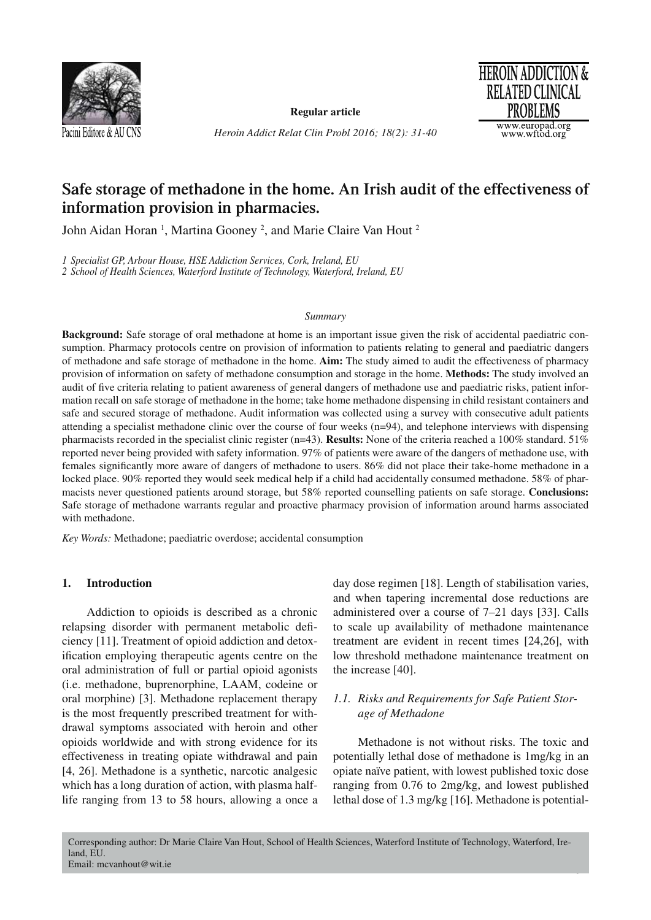

**Regular article**

*Heroin Addict Relat Clin Probl 2016; 18(2): 31-40*



## **Safe storage of methadone in the home. An Irish audit of the effectiveness of information provision in pharmacies.**

John Aidan Horan<sup>1</sup>, Martina Gooney<sup>2</sup>, and Marie Claire Van Hout<sup>2</sup>

*1 Specialist GP, Arbour House, HSE Addiction Services, Cork, Ireland, EU 2 School of Health Sciences, Waterford Institute of Technology, Waterford, Ireland, EU*

## *Summary*

**Background:** Safe storage of oral methadone at home is an important issue given the risk of accidental paediatric consumption. Pharmacy protocols centre on provision of information to patients relating to general and paediatric dangers of methadone and safe storage of methadone in the home. **Aim:** The study aimed to audit the effectiveness of pharmacy provision of information on safety of methadone consumption and storage in the home. **Methods:** The study involved an audit of five criteria relating to patient awareness of general dangers of methadone use and paediatric risks, patient information recall on safe storage of methadone in the home; take home methadone dispensing in child resistant containers and safe and secured storage of methadone. Audit information was collected using a survey with consecutive adult patients attending a specialist methadone clinic over the course of four weeks (n=94), and telephone interviews with dispensing pharmacists recorded in the specialist clinic register (n=43). **Results:** None of the criteria reached a 100% standard. 51% reported never being provided with safety information. 97% of patients were aware of the dangers of methadone use, with females significantly more aware of dangers of methadone to users. 86% did not place their take-home methadone in a locked place. 90% reported they would seek medical help if a child had accidentally consumed methadone. 58% of pharmacists never questioned patients around storage, but 58% reported counselling patients on safe storage. **Conclusions:** Safe storage of methadone warrants regular and proactive pharmacy provision of information around harms associated with methadone.

*Key Words:* Methadone; paediatric overdose; accidental consumption

## **1. Introduction**

Addiction to opioids is described as a chronic relapsing disorder with permanent metabolic deficiency [11]. Treatment of opioid addiction and detoxification employing therapeutic agents centre on the oral administration of full or partial opioid agonists (i.e. methadone, buprenorphine, LAAM, codeine or oral morphine) [3]. Methadone replacement therapy is the most frequently prescribed treatment for withdrawal symptoms associated with heroin and other opioids worldwide and with strong evidence for its effectiveness in treating opiate withdrawal and pain [4, 26]. Methadone is a synthetic, narcotic analgesic which has a long duration of action, with plasma halflife ranging from 13 to 58 hours, allowing a once a day dose regimen [18]. Length of stabilisation varies, and when tapering incremental dose reductions are administered over a course of 7–21 days [33]. Calls to scale up availability of methadone maintenance treatment are evident in recent times [24,26], with low threshold methadone maintenance treatment on the increase [40].

## *1.1. Risks and Requirements for Safe Patient Storage of Methadone*

Methadone is not without risks. The toxic and potentially lethal dose of methadone is 1mg/kg in an opiate naïve patient, with lowest published toxic dose ranging from 0.76 to 2mg/kg, and lowest published lethal dose of 1.3 mg/kg [16]. Methadone is potential-

31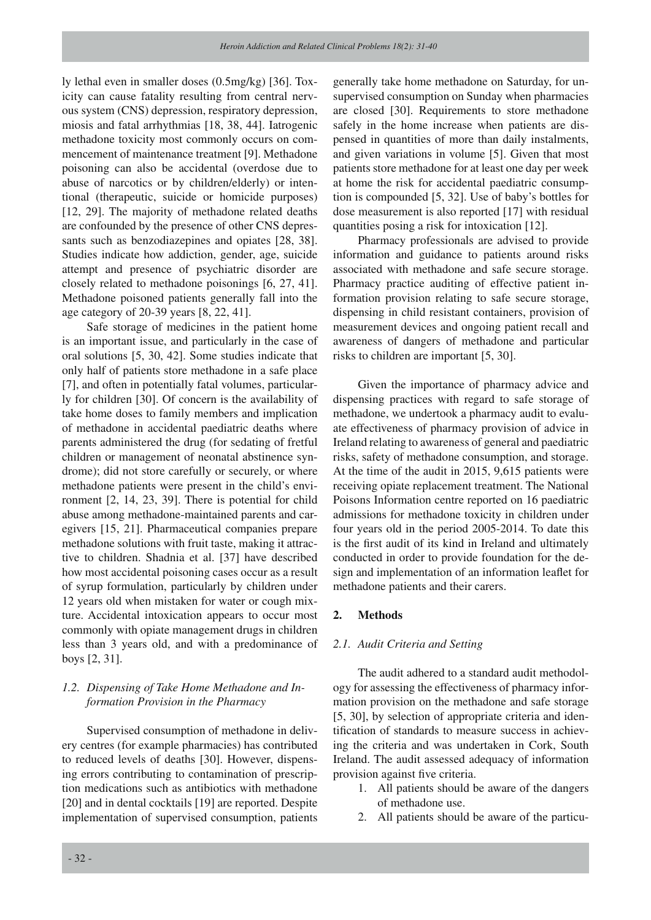ly lethal even in smaller doses (0.5mg/kg) [36]. Toxicity can cause fatality resulting from central nervous system (CNS) depression, respiratory depression, miosis and fatal arrhythmias [18, 38, 44]. Iatrogenic methadone toxicity most commonly occurs on commencement of maintenance treatment [9]. Methadone poisoning can also be accidental (overdose due to abuse of narcotics or by children/elderly) or intentional (therapeutic, suicide or homicide purposes) [12, 29]. The majority of methadone related deaths are confounded by the presence of other CNS depressants such as benzodiazepines and opiates [28, 38]. Studies indicate how addiction, gender, age, suicide attempt and presence of psychiatric disorder are closely related to methadone poisonings [6, 27, 41]. Methadone poisoned patients generally fall into the age category of 20-39 years [8, 22, 41].

Safe storage of medicines in the patient home is an important issue, and particularly in the case of oral solutions [5, 30, 42]. Some studies indicate that only half of patients store methadone in a safe place [7], and often in potentially fatal volumes, particularly for children [30]. Of concern is the availability of take home doses to family members and implication of methadone in accidental paediatric deaths where parents administered the drug (for sedating of fretful children or management of neonatal abstinence syndrome); did not store carefully or securely, or where methadone patients were present in the child's environment [2, 14, 23, 39]. There is potential for child abuse among methadone-maintained parents and caregivers [15, 21]. Pharmaceutical companies prepare methadone solutions with fruit taste, making it attractive to children. Shadnia et al. [37] have described how most accidental poisoning cases occur as a result of syrup formulation, particularly by children under 12 years old when mistaken for water or cough mixture. Accidental intoxication appears to occur most commonly with opiate management drugs in children less than 3 years old, and with a predominance of boys [2, 31].

## *1.2. Dispensing of Take Home Methadone and Information Provision in the Pharmacy*

Supervised consumption of methadone in delivery centres (for example pharmacies) has contributed to reduced levels of deaths [30]. However, dispensing errors contributing to contamination of prescription medications such as antibiotics with methadone [20] and in dental cocktails [19] are reported. Despite implementation of supervised consumption, patients generally take home methadone on Saturday, for unsupervised consumption on Sunday when pharmacies are closed [30]. Requirements to store methadone safely in the home increase when patients are dispensed in quantities of more than daily instalments, and given variations in volume [5]. Given that most patients store methadone for at least one day per week at home the risk for accidental paediatric consumption is compounded [5, 32]. Use of baby's bottles for dose measurement is also reported [17] with residual quantities posing a risk for intoxication [12].

Pharmacy professionals are advised to provide information and guidance to patients around risks associated with methadone and safe secure storage. Pharmacy practice auditing of effective patient information provision relating to safe secure storage, dispensing in child resistant containers, provision of measurement devices and ongoing patient recall and awareness of dangers of methadone and particular risks to children are important [5, 30].

Given the importance of pharmacy advice and dispensing practices with regard to safe storage of methadone, we undertook a pharmacy audit to evaluate effectiveness of pharmacy provision of advice in Ireland relating to awareness of general and paediatric risks, safety of methadone consumption, and storage. At the time of the audit in 2015, 9,615 patients were receiving opiate replacement treatment. The National Poisons Information centre reported on 16 paediatric admissions for methadone toxicity in children under four years old in the period 2005-2014. To date this is the first audit of its kind in Ireland and ultimately conducted in order to provide foundation for the design and implementation of an information leaflet for methadone patients and their carers.

## **2. Methods**

#### *2.1. Audit Criteria and Setting*

The audit adhered to a standard audit methodology for assessing the effectiveness of pharmacy information provision on the methadone and safe storage [5, 30], by selection of appropriate criteria and identification of standards to measure success in achieving the criteria and was undertaken in Cork, South Ireland. The audit assessed adequacy of information provision against five criteria.

- 1. All patients should be aware of the dangers of methadone use.
- 2. All patients should be aware of the particu-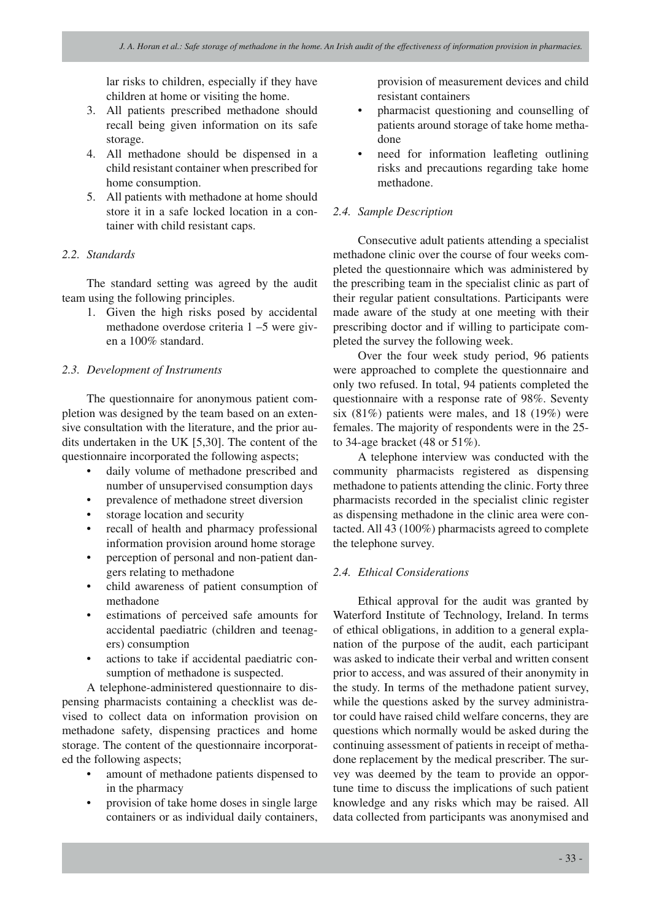lar risks to children, especially if they have children at home or visiting the home.

- 3. All patients prescribed methadone should recall being given information on its safe storage.
- 4. All methadone should be dispensed in a child resistant container when prescribed for home consumption.
- 5. All patients with methadone at home should store it in a safe locked location in a container with child resistant caps.

## *2.2. Standards*

The standard setting was agreed by the audit team using the following principles.

> 1. Given the high risks posed by accidental methadone overdose criteria 1 –5 were given a 100% standard.

## *2.3. Development of Instruments*

The questionnaire for anonymous patient completion was designed by the team based on an extensive consultation with the literature, and the prior audits undertaken in the UK [5,30]. The content of the questionnaire incorporated the following aspects;

- daily volume of methadone prescribed and number of unsupervised consumption days
- prevalence of methadone street diversion
- storage location and security
- recall of health and pharmacy professional information provision around home storage
- perception of personal and non-patient dangers relating to methadone
- child awareness of patient consumption of methadone
- estimations of perceived safe amounts for accidental paediatric (children and teenagers) consumption
- actions to take if accidental paediatric consumption of methadone is suspected.

A telephone-administered questionnaire to dispensing pharmacists containing a checklist was devised to collect data on information provision on methadone safety, dispensing practices and home storage. The content of the questionnaire incorporated the following aspects;

- amount of methadone patients dispensed to in the pharmacy
- provision of take home doses in single large containers or as individual daily containers,

provision of measurement devices and child resistant containers

- pharmacist questioning and counselling of patients around storage of take home methadone
- need for information leafleting outlining risks and precautions regarding take home methadone.

## *2.4. Sample Description*

Consecutive adult patients attending a specialist methadone clinic over the course of four weeks completed the questionnaire which was administered by the prescribing team in the specialist clinic as part of their regular patient consultations. Participants were made aware of the study at one meeting with their prescribing doctor and if willing to participate completed the survey the following week.

Over the four week study period, 96 patients were approached to complete the questionnaire and only two refused. In total, 94 patients completed the questionnaire with a response rate of 98%. Seventy six  $(81\%)$  patients were males, and 18  $(19\%)$  were females. The majority of respondents were in the 25 to 34-age bracket (48 or 51%).

A telephone interview was conducted with the community pharmacists registered as dispensing methadone to patients attending the clinic. Forty three pharmacists recorded in the specialist clinic register as dispensing methadone in the clinic area were contacted. All 43 (100%) pharmacists agreed to complete the telephone survey.

## *2.4. Ethical Considerations*

Ethical approval for the audit was granted by Waterford Institute of Technology, Ireland. In terms of ethical obligations, in addition to a general explanation of the purpose of the audit, each participant was asked to indicate their verbal and written consent prior to access, and was assured of their anonymity in the study. In terms of the methadone patient survey, while the questions asked by the survey administrator could have raised child welfare concerns, they are questions which normally would be asked during the continuing assessment of patients in receipt of methadone replacement by the medical prescriber. The survey was deemed by the team to provide an opportune time to discuss the implications of such patient knowledge and any risks which may be raised. All data collected from participants was anonymised and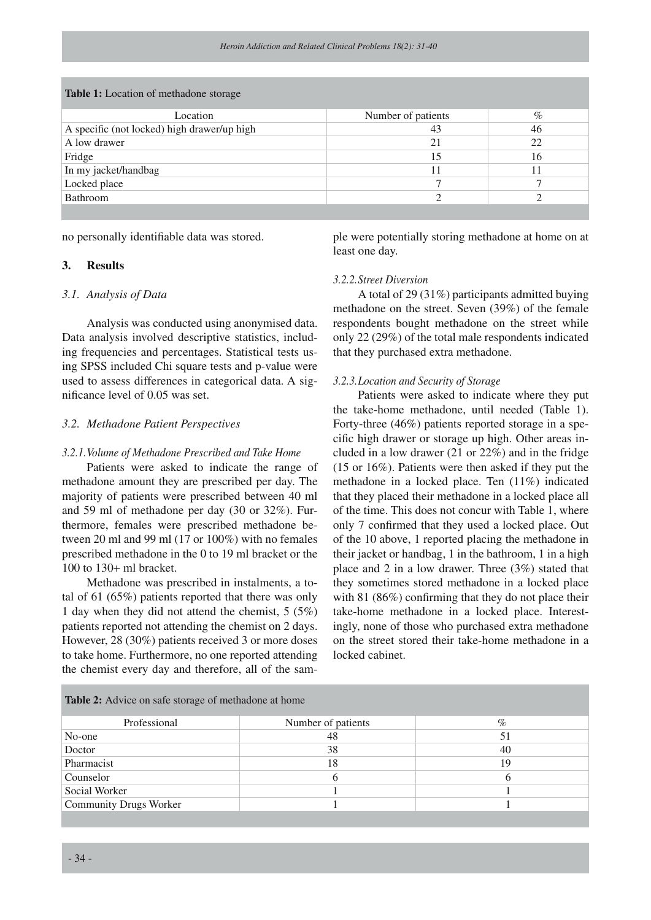| <b>Table 1:</b> Location of methadone storage |                    |      |  |  |
|-----------------------------------------------|--------------------|------|--|--|
| Location                                      | Number of patients | $\%$ |  |  |
| A specific (not locked) high drawer/up high   | 43                 | 46   |  |  |
| A low drawer                                  | 21                 | 22   |  |  |
| Fridge                                        |                    | 16   |  |  |
| In my jacket/handbag                          |                    |      |  |  |
| Locked place                                  |                    |      |  |  |
| Bathroom                                      |                    |      |  |  |
|                                               |                    |      |  |  |

**Table 1:** Location of methadone storage

no personally identifiable data was stored.

## **3. Results**

## *3.1. Analysis of Data*

Analysis was conducted using anonymised data. Data analysis involved descriptive statistics, including frequencies and percentages. Statistical tests using SPSS included Chi square tests and p-value were used to assess differences in categorical data. A significance level of 0.05 was set.

## *3.2. Methadone Patient Perspectives*

#### *3.2.1.Volume of Methadone Prescribed and Take Home*

Patients were asked to indicate the range of methadone amount they are prescribed per day. The majority of patients were prescribed between 40 ml and 59 ml of methadone per day (30 or 32%). Furthermore, females were prescribed methadone between 20 ml and 99 ml (17 or 100%) with no females prescribed methadone in the 0 to 19 ml bracket or the 100 to 130+ ml bracket.

Methadone was prescribed in instalments, a total of 61 (65%) patients reported that there was only 1 day when they did not attend the chemist, 5 (5%) patients reported not attending the chemist on 2 days. However, 28 (30%) patients received 3 or more doses to take home. Furthermore, no one reported attending the chemist every day and therefore, all of the sample were potentially storing methadone at home on at least one day.

#### *3.2.2.Street Diversion*

A total of 29 (31%) participants admitted buying methadone on the street. Seven (39%) of the female respondents bought methadone on the street while only 22 (29%) of the total male respondents indicated that they purchased extra methadone.

### *3.2.3.Location and Security of Storage*

Patients were asked to indicate where they put the take-home methadone, until needed (Table 1). Forty-three (46%) patients reported storage in a specific high drawer or storage up high. Other areas included in a low drawer (21 or 22%) and in the fridge (15 or 16%). Patients were then asked if they put the methadone in a locked place. Ten (11%) indicated that they placed their methadone in a locked place all of the time. This does not concur with Table 1, where only 7 confirmed that they used a locked place. Out of the 10 above, 1 reported placing the methadone in their jacket or handbag, 1 in the bathroom, 1 in a high place and 2 in a low drawer. Three (3%) stated that they sometimes stored methadone in a locked place with 81 (86%) confirming that they do not place their take-home methadone in a locked place. Interestingly, none of those who purchased extra methadone on the street stored their take-home methadone in a locked cabinet.

| Table 2: Advice on safe storage of methadone at home |                    |              |  |  |
|------------------------------------------------------|--------------------|--------------|--|--|
| Professional                                         | Number of patients | $\%$         |  |  |
| No-one                                               | 48                 | 51           |  |  |
| Doctor                                               | 38                 | 40           |  |  |
| Pharmacist                                           | 18                 | 19           |  |  |
| Counselor                                            | <sub>(</sub>       | <sub>(</sub> |  |  |
| Social Worker                                        |                    |              |  |  |
| <b>Community Drugs Worker</b>                        |                    |              |  |  |
|                                                      |                    |              |  |  |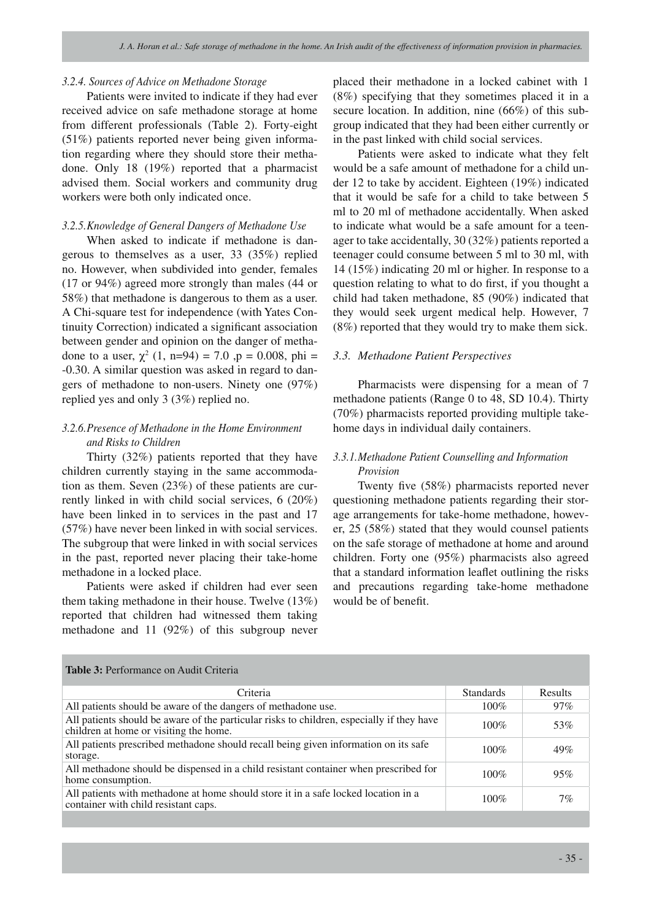#### *3.2.4. Sources of Advice on Methadone Storage*

Patients were invited to indicate if they had ever received advice on safe methadone storage at home from different professionals (Table 2). Forty-eight (51%) patients reported never being given information regarding where they should store their methadone. Only 18 (19%) reported that a pharmacist advised them. Social workers and community drug workers were both only indicated once.

## *3.2.5.Knowledge of General Dangers of Methadone Use*

When asked to indicate if methadone is dangerous to themselves as a user, 33 (35%) replied no. However, when subdivided into gender, females (17 or 94%) agreed more strongly than males (44 or 58%) that methadone is dangerous to them as a user. A Chi-square test for independence (with Yates Continuity Correction) indicated a significant association between gender and opinion on the danger of methadone to a user,  $\chi^2$  (1, n=94) = 7.0 ,p = 0.008, phi = -0.30. A similar question was asked in regard to dangers of methadone to non-users. Ninety one (97%) replied yes and only 3 (3%) replied no.

## *3.2.6.Presence of Methadone in the Home Environment and Risks to Children*

Thirty (32%) patients reported that they have children currently staying in the same accommodation as them. Seven (23%) of these patients are currently linked in with child social services, 6 (20%) have been linked in to services in the past and 17 (57%) have never been linked in with social services. The subgroup that were linked in with social services in the past, reported never placing their take-home methadone in a locked place.

Patients were asked if children had ever seen them taking methadone in their house. Twelve (13%) reported that children had witnessed them taking methadone and 11 (92%) of this subgroup never placed their methadone in a locked cabinet with 1 (8%) specifying that they sometimes placed it in a secure location. In addition, nine (66%) of this subgroup indicated that they had been either currently or in the past linked with child social services.

Patients were asked to indicate what they felt would be a safe amount of methadone for a child under 12 to take by accident. Eighteen (19%) indicated that it would be safe for a child to take between 5 ml to 20 ml of methadone accidentally. When asked to indicate what would be a safe amount for a teenager to take accidentally, 30 (32%) patients reported a teenager could consume between 5 ml to 30 ml, with 14 (15%) indicating 20 ml or higher. In response to a question relating to what to do first, if you thought a child had taken methadone, 85 (90%) indicated that they would seek urgent medical help. However, 7 (8%) reported that they would try to make them sick.

### *3.3. Methadone Patient Perspectives*

Pharmacists were dispensing for a mean of 7 methadone patients (Range 0 to 48, SD 10.4). Thirty (70%) pharmacists reported providing multiple takehome days in individual daily containers.

## *3.3.1.Methadone Patient Counselling and Information Provision*

Twenty five (58%) pharmacists reported never questioning methadone patients regarding their storage arrangements for take-home methadone, however, 25 (58%) stated that they would counsel patients on the safe storage of methadone at home and around children. Forty one (95%) pharmacists also agreed that a standard information leaflet outlining the risks and precautions regarding take-home methadone would be of benefit.

| <b>Table 3: Performance on Audit Criteria</b>                                                                                       |                  |         |  |  |
|-------------------------------------------------------------------------------------------------------------------------------------|------------------|---------|--|--|
| Criteria                                                                                                                            | <b>Standards</b> | Results |  |  |
| All patients should be aware of the dangers of methadone use.                                                                       | $100\%$          | $97\%$  |  |  |
| All patients should be aware of the particular risks to children, especially if they have<br>children at home or visiting the home. | $100\%$          | 53%     |  |  |
| All patients prescribed methadone should recall being given information on its safe<br>storage.                                     | $100\%$          | 49%     |  |  |
| All methadone should be dispensed in a child resistant container when prescribed for<br>home consumption.                           | $100\%$          | 95%     |  |  |
| All patients with methadone at home should store it in a safe locked location in a<br>container with child resistant caps.          | $100\%$          | $7\%$   |  |  |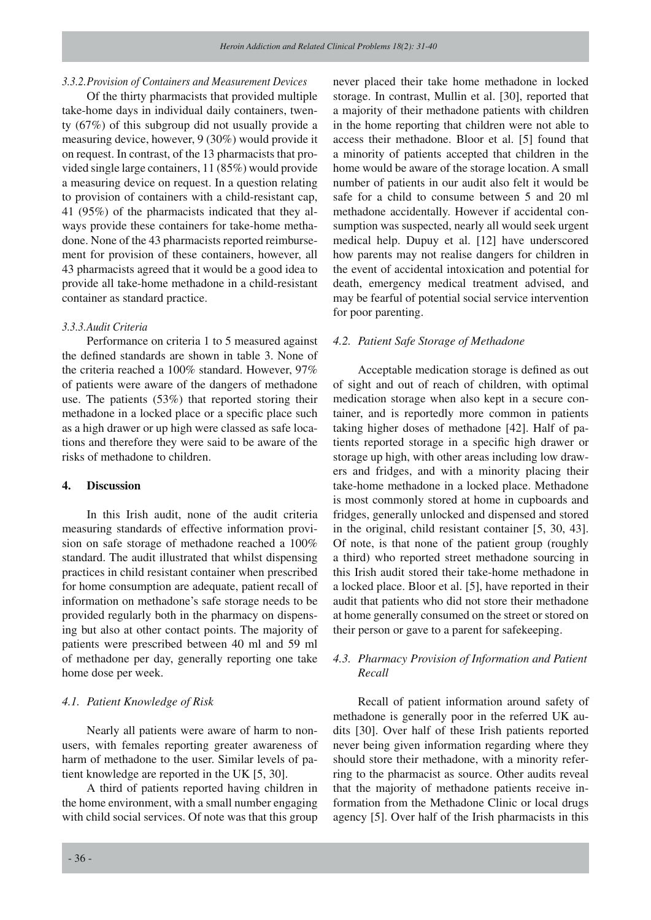#### *3.3.2.Provision of Containers and Measurement Devices*

Of the thirty pharmacists that provided multiple take-home days in individual daily containers, twenty (67%) of this subgroup did not usually provide a measuring device, however, 9 (30%) would provide it on request. In contrast, of the 13 pharmacists that provided single large containers, 11 (85%) would provide a measuring device on request. In a question relating to provision of containers with a child-resistant cap, 41 (95%) of the pharmacists indicated that they always provide these containers for take-home methadone. None of the 43 pharmacists reported reimbursement for provision of these containers, however, all 43 pharmacists agreed that it would be a good idea to provide all take-home methadone in a child-resistant container as standard practice.

#### *3.3.3.Audit Criteria*

Performance on criteria 1 to 5 measured against the defined standards are shown in table 3. None of the criteria reached a 100% standard. However, 97% of patients were aware of the dangers of methadone use. The patients (53%) that reported storing their methadone in a locked place or a specific place such as a high drawer or up high were classed as safe locations and therefore they were said to be aware of the risks of methadone to children.

## **4. Discussion**

In this Irish audit, none of the audit criteria measuring standards of effective information provision on safe storage of methadone reached a 100% standard. The audit illustrated that whilst dispensing practices in child resistant container when prescribed for home consumption are adequate, patient recall of information on methadone's safe storage needs to be provided regularly both in the pharmacy on dispensing but also at other contact points. The majority of patients were prescribed between 40 ml and 59 ml of methadone per day, generally reporting one take home dose per week.

## *4.1. Patient Knowledge of Risk*

Nearly all patients were aware of harm to nonusers, with females reporting greater awareness of harm of methadone to the user. Similar levels of patient knowledge are reported in the UK [5, 30].

A third of patients reported having children in the home environment, with a small number engaging with child social services. Of note was that this group never placed their take home methadone in locked storage. In contrast, Mullin et al. [30], reported that a majority of their methadone patients with children in the home reporting that children were not able to access their methadone. Bloor et al. [5] found that a minority of patients accepted that children in the home would be aware of the storage location. A small number of patients in our audit also felt it would be safe for a child to consume between 5 and 20 ml methadone accidentally. However if accidental consumption was suspected, nearly all would seek urgent medical help. Dupuy et al. [12] have underscored how parents may not realise dangers for children in the event of accidental intoxication and potential for death, emergency medical treatment advised, and may be fearful of potential social service intervention for poor parenting.

## *4.2. Patient Safe Storage of Methadone*

Acceptable medication storage is defined as out of sight and out of reach of children, with optimal medication storage when also kept in a secure container, and is reportedly more common in patients taking higher doses of methadone [42]. Half of patients reported storage in a specific high drawer or storage up high, with other areas including low drawers and fridges, and with a minority placing their take-home methadone in a locked place. Methadone is most commonly stored at home in cupboards and fridges, generally unlocked and dispensed and stored in the original, child resistant container [5, 30, 43]. Of note, is that none of the patient group (roughly a third) who reported street methadone sourcing in this Irish audit stored their take-home methadone in a locked place. Bloor et al. [5], have reported in their audit that patients who did not store their methadone at home generally consumed on the street or stored on their person or gave to a parent for safekeeping.

## *4.3. Pharmacy Provision of Information and Patient Recall*

Recall of patient information around safety of methadone is generally poor in the referred UK audits [30]. Over half of these Irish patients reported never being given information regarding where they should store their methadone, with a minority referring to the pharmacist as source. Other audits reveal that the majority of methadone patients receive information from the Methadone Clinic or local drugs agency [5]. Over half of the Irish pharmacists in this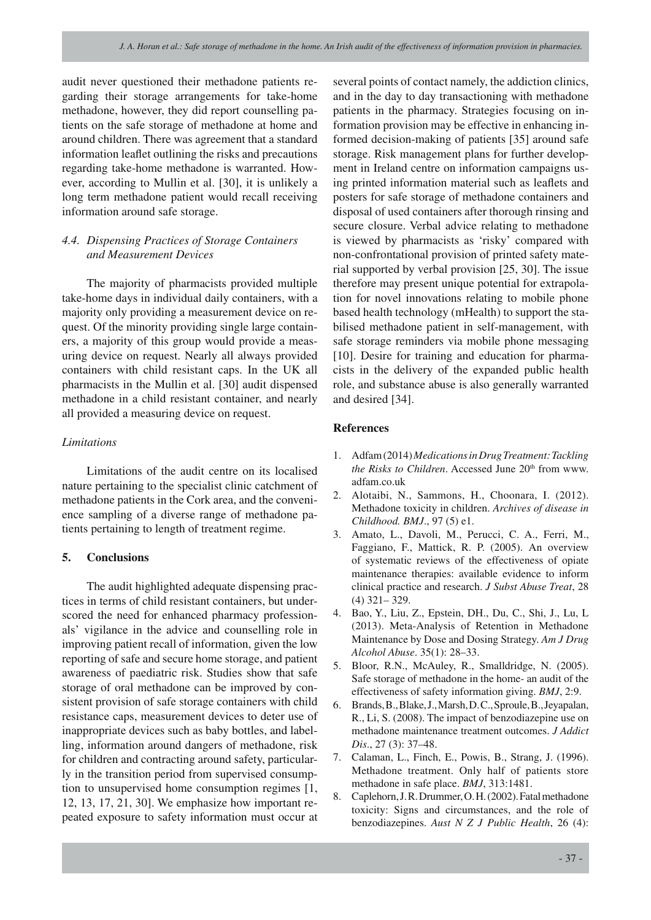audit never questioned their methadone patients regarding their storage arrangements for take-home methadone, however, they did report counselling patients on the safe storage of methadone at home and around children. There was agreement that a standard information leaflet outlining the risks and precautions regarding take-home methadone is warranted. However, according to Mullin et al. [30], it is unlikely a long term methadone patient would recall receiving information around safe storage.

## *4.4. Dispensing Practices of Storage Containers and Measurement Devices*

The majority of pharmacists provided multiple take-home days in individual daily containers, with a majority only providing a measurement device on request. Of the minority providing single large containers, a majority of this group would provide a measuring device on request. Nearly all always provided containers with child resistant caps. In the UK all pharmacists in the Mullin et al. [30] audit dispensed methadone in a child resistant container, and nearly all provided a measuring device on request.

## *Limitations*

Limitations of the audit centre on its localised nature pertaining to the specialist clinic catchment of methadone patients in the Cork area, and the convenience sampling of a diverse range of methadone patients pertaining to length of treatment regime.

## **5. Conclusions**

The audit highlighted adequate dispensing practices in terms of child resistant containers, but underscored the need for enhanced pharmacy professionals' vigilance in the advice and counselling role in improving patient recall of information, given the low reporting of safe and secure home storage, and patient awareness of paediatric risk. Studies show that safe storage of oral methadone can be improved by consistent provision of safe storage containers with child resistance caps, measurement devices to deter use of inappropriate devices such as baby bottles, and labelling, information around dangers of methadone, risk for children and contracting around safety, particularly in the transition period from supervised consumption to unsupervised home consumption regimes [1, 12, 13, 17, 21, 30]. We emphasize how important repeated exposure to safety information must occur at

several points of contact namely, the addiction clinics, and in the day to day transactioning with methadone patients in the pharmacy. Strategies focusing on information provision may be effective in enhancing informed decision-making of patients [35] around safe storage. Risk management plans for further development in Ireland centre on information campaigns using printed information material such as leaflets and posters for safe storage of methadone containers and disposal of used containers after thorough rinsing and secure closure. Verbal advice relating to methadone is viewed by pharmacists as 'risky' compared with non-confrontational provision of printed safety material supported by verbal provision [25, 30]. The issue therefore may present unique potential for extrapolation for novel innovations relating to mobile phone based health technology (mHealth) to support the stabilised methadone patient in self-management, with safe storage reminders via mobile phone messaging [10]. Desire for training and education for pharmacists in the delivery of the expanded public health role, and substance abuse is also generally warranted and desired [34].

## **References**

- 1. Adfam (2014) *Medications in Drug Treatment: Tackling the Risks to Children*. Accessed June 20<sup>th</sup> from www. adfam.co.uk
- 2. Alotaibi, N., Sammons, H., Choonara, I. (2012). Methadone toxicity in children. *Archives of disease in Childhood. BMJ*., 97 (5) e1.
- 3. Amato, L., Davoli, M., Perucci, C. A., Ferri, M., Faggiano, F., Mattick, R. P. (2005). An overview of systematic reviews of the effectiveness of opiate maintenance therapies: available evidence to inform clinical practice and research. *J Subst Abuse Treat*, 28 (4) 321– 329.
- 4. Bao, Y., Liu, Z., Epstein, DH., Du, C., Shi, J., Lu, L (2013). Meta-Analysis of Retention in Methadone Maintenance by Dose and Dosing Strategy. *Am J Drug Alcohol Abuse*. 35(1): 28–33.
- 5. Bloor, R.N., McAuley, R., Smalldridge, N. (2005). Safe storage of methadone in the home- an audit of the effectiveness of safety information giving. *BMJ*, 2:9.
- 6. Brands, B., Blake, J., Marsh, D. C., Sproule, B., Jeyapalan, R., Li, S. (2008). The impact of benzodiazepine use on methadone maintenance treatment outcomes. *J Addict Dis*., 27 (3): 37–48.
- 7. Calaman, L., Finch, E., Powis, B., Strang, J. (1996). Methadone treatment. Only half of patients store methadone in safe place. *BMJ*, 313:1481.
- 8. Caplehorn, J. R. Drummer, O. H. (2002). Fatal methadone toxicity: Signs and circumstances, and the role of benzodiazepines. *Aust N Z J Public Health*, 26 (4):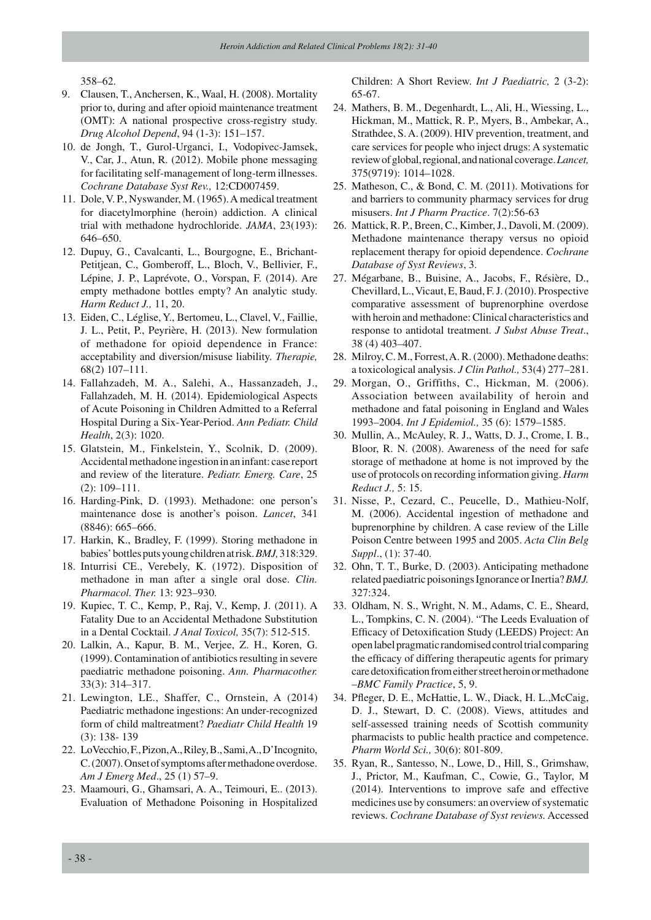358–62.

- 9. Clausen, T., Anchersen, K., Waal, H. (2008). Mortality prior to, during and after opioid maintenance treatment (OMT): A national prospective cross-registry study. *Drug Alcohol Depend*, 94 (1-3): 151–157.
- 10. de Jongh, T., Gurol-Urganci, I., Vodopivec-Jamsek, V., Car, J., Atun, R. (2012). Mobile phone messaging for facilitating self-management of long-term illnesses. *Cochrane Database Syst Rev.,* 12:CD007459.
- 11. Dole, V. P., Nyswander, M. (1965). A medical treatment for diacetylmorphine (heroin) addiction. A clinical trial with methadone hydrochloride. *JAMA*, 23(193): 646–650.
- 12. Dupuy, G., Cavalcanti, L., Bourgogne, E., Brichant-Petitjean, C., Gomberoff, L., Bloch, V., Bellivier, F., Lépine, J. P., Laprévote, O., Vorspan, F. (2014). Are empty methadone bottles empty? An analytic study. *Harm Reduct J.,* 11, 20.
- 13. Eiden, C., Léglise, Y., Bertomeu, L., Clavel, V., Faillie, J. L., Petit, P., Peyrière, H. (2013). New formulation of methadone for opioid dependence in France: acceptability and diversion/misuse liability. *Therapie,* 68(2) 107–111.
- 14. Fallahzadeh, M. A., Salehi, A., Hassanzadeh, J., Fallahzadeh, M. H. (2014). Epidemiological Aspects of Acute Poisoning in Children Admitted to a Referral Hospital During a Six-Year-Period. *Ann Pediatr. Child Health*, 2(3): 1020.
- 15. Glatstein, M., Finkelstein, Y., Scolnik, D. (2009). Accidental methadone ingestion in an infant: case report and review of the literature. *Pediatr. Emerg. Care*, 25 (2): 109–111.
- 16. Harding-Pink, D. (1993). Methadone: one person's maintenance dose is another's poison. *Lancet*, 341 (8846): 665–666.
- 17. Harkin, K., Bradley, F. (1999). Storing methadone in babies' bottles puts young children at risk. *BMJ,* 318:329.
- 18. Inturrisi CE., Verebely, K. (1972). Disposition of methadone in man after a single oral dose. *Clin. Pharmacol. Ther.* 13: 923–930.
- 19. Kupiec, T. C., Kemp, P., Raj, V., Kemp, J. (2011). A Fatality Due to an Accidental Methadone Substitution in a Dental Cocktail. *J Anal Toxicol,* 35(7): 512-515.
- 20. Lalkin, A., Kapur, B. M., Verjee, Z. H., Koren, G. (1999). Contamination of antibiotics resulting in severe paediatric methadone poisoning. *Ann. Pharmacother.* 33(3): 314–317.
- 21. Lewington, LE., Shaffer, C., Ornstein, A (2014) Paediatric methadone ingestions: An under-recognized form of child maltreatment? *Paediatr Child Health* 19 (3): 138- 139
- 22. LoVecchio, F., Pizon, A., Riley, B., Sami, A., D'Incognito, C. (2007). Onset of symptoms after methadone overdose. *Am J Emerg Med*., 25 (1) 57–9.
- 23. Maamouri, G., Ghamsari, A. A., Teimouri, E.. (2013). Evaluation of Methadone Poisoning in Hospitalized

Children: A Short Review. *Int J Paediatric,* 2 (3-2): 65-67.

- 24. Mathers, B. M., Degenhardt, L., Ali, H., Wiessing, L., Hickman, M., Mattick, R. P., Myers, B., Ambekar, A., Strathdee, S. A. (2009). HIV prevention, treatment, and care services for people who inject drugs: A systematic review of global, regional, and national coverage. *Lancet,* 375(9719): 1014–1028.
- 25. Matheson, C., & Bond, C. M. (2011). Motivations for and barriers to community pharmacy services for drug misusers. *Int J Pharm Practice*. 7(2):56-63
- 26. Mattick, R. P., Breen, C., Kimber, J., Davoli, M. (2009). Methadone maintenance therapy versus no opioid replacement therapy for opioid dependence. *Cochrane Database of Syst Reviews*, 3.
- 27. Mégarbane, B., Buisine, A., Jacobs, F., Résière, D., Chevillard, L., Vicaut, E, Baud, F. J. (2010). Prospective comparative assessment of buprenorphine overdose with heroin and methadone: Clinical characteristics and response to antidotal treatment. *J Subst Abuse Treat*., 38 (4) 403–407.
- 28. Milroy, C. M., Forrest, A. R. (2000). Methadone deaths: a toxicological analysis. *J Clin Pathol.,* 53(4) 277–281.
- 29. Morgan, O., Griffiths, C., Hickman, M. (2006). Association between availability of heroin and methadone and fatal poisoning in England and Wales 1993–2004. *Int J Epidemiol.,* 35 (6): 1579–1585.
- 30. Mullin, A., McAuley, R. J., Watts, D. J., Crome, I. B., Bloor, R. N. (2008). Awareness of the need for safe storage of methadone at home is not improved by the use of protocols on recording information giving. *Harm Reduct J.,* 5: 15.
- 31. Nisse, P., Cezard, C., Peucelle, D., Mathieu-Nolf, M. (2006). Accidental ingestion of methadone and buprenorphine by children. A case review of the Lille Poison Centre between 1995 and 2005. *Acta Clin Belg Suppl*., (1): 37-40.
- 32. Ohn, T. T., Burke, D. (2003). Anticipating methadone related paediatric poisonings Ignorance or Inertia? *BMJ.* 327:324.
- 33. Oldham, N. S., Wright, N. M., Adams, C. E., Sheard, L., Tompkins, C. N. (2004). "The Leeds Evaluation of Efficacy of Detoxification Study (LEEDS) Project: An open label pragmatic randomised control trial comparing the efficacy of differing therapeutic agents for primary care detoxification from either street heroin or methadone –*BMC Family Practice*, 5, 9.
- 34. Pfleger, D. E., McHattie, L. W., Diack, H. L.,McCaig, D. J., Stewart, D. C. (2008). Views, attitudes and self-assessed training needs of Scottish community pharmacists to public health practice and competence. *Pharm World Sci.,* 30(6): 801-809.
- 35. Ryan, R., Santesso, N., Lowe, D., Hill, S., Grimshaw, J., Prictor, M., Kaufman, C., Cowie, G., Taylor, M (2014). Interventions to improve safe and effective medicines use by consumers: an overview of systematic reviews. *Cochrane Database of Syst reviews.* Accessed